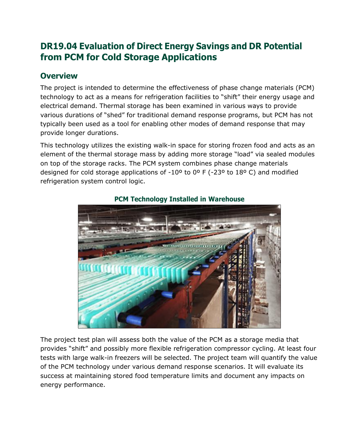# **DR19.04 Evaluation of Direct Energy Savings and DR Potential from PCM for Cold Storage Applications**

### **Overview**

The project is intended to determine the effectiveness of phase change materials (PCM) technology to act as a means for refrigeration facilities to "shift" their energy usage and electrical demand. Thermal storage has been examined in various ways to provide various durations of "shed" for traditional demand response programs, but PCM has not typically been used as a tool for enabling other modes of demand response that may provide longer durations.

This technology utilizes the existing walk-in space for storing frozen food and acts as an element of the thermal storage mass by adding more storage "load" via sealed modules on top of the storage racks. The PCM system combines phase change materials designed for cold storage applications of -10º to 0º F (-23º to 18º C) and modified refrigeration system control logic.



### **PCM Technology Installed in Warehouse**

The project test plan will assess both the value of the PCM as a storage media that provides "shift" and possibly more flexible refrigeration compressor cycling. At least four tests with large walk-in freezers will be selected. The project team will quantify the value of the PCM technology under various demand response scenarios. It will evaluate its success at maintaining stored food temperature limits and document any impacts on energy performance.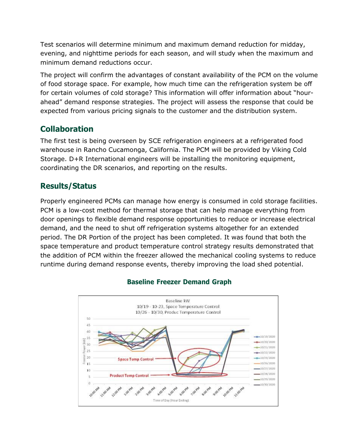Test scenarios will determine minimum and maximum demand reduction for midday, evening, and nighttime periods for each season, and will study when the maximum and minimum demand reductions occur.

The project will confirm the advantages of constant availability of the PCM on the volume of food storage space. For example, how much time can the refrigeration system be off for certain volumes of cold storage? This information will offer information about "hourahead" demand response strategies. The project will assess the response that could be expected from various pricing signals to the customer and the distribution system.

# **Collaboration**

The first test is being overseen by SCE refrigeration engineers at a refrigerated food warehouse in Rancho Cucamonga, California. The PCM will be provided by Viking Cold Storage. D+R International engineers will be installing the monitoring equipment, coordinating the DR scenarios, and reporting on the results.

# **Results/Status**

Properly engineered PCMs can manage how energy is consumed in cold storage facilities. PCM is a low-cost method for thermal storage that can help manage everything from door openings to flexible demand response opportunities to reduce or increase electrical demand, and the need to shut off refrigeration systems altogether for an extended period. The DR Portion of the project has been completed. It was found that both the space temperature and product temperature control strategy results demonstrated that the addition of PCM within the freezer allowed the mechanical cooling systems to reduce runtime during demand response events, thereby improving the load shed potential.



#### **Baseline Freezer Demand Graph**